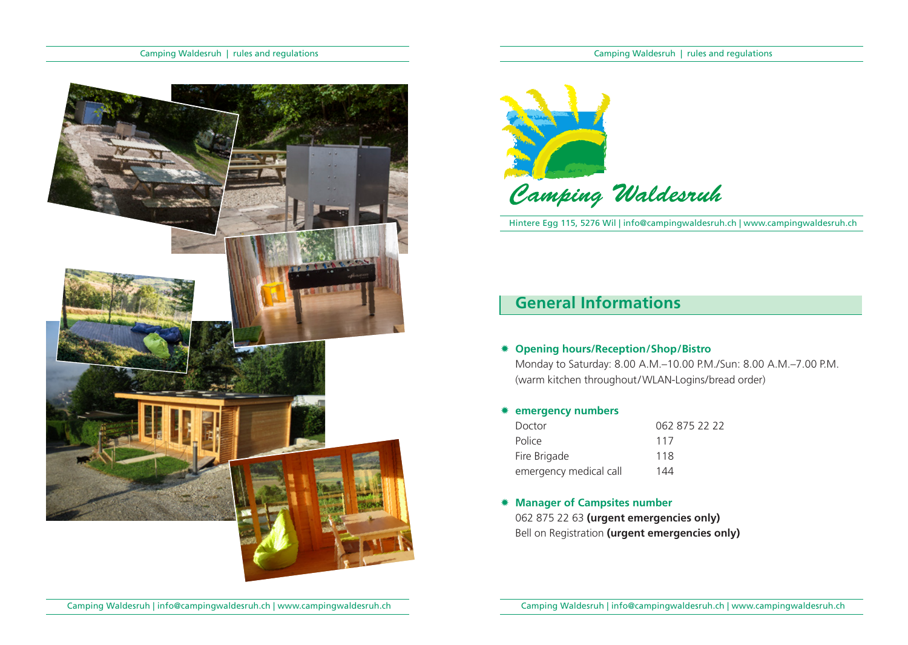



Hintere Egg 115, 5276 Wil | info@campingwaldesruh.ch | www.campingwaldesruh.ch

# **General Informations**

#### Ò **Opening hours/Reception/Shop/Bistro**

Monday to Saturday: 8.00 A.M.–10.00 P.M./Sun: 8.00 A.M.–7.00 P.M. (warm kitchen throughout/WLAN-Logins/bread order)

## Ò **emergency numbers**

| Doctor                 | 062 875 22 22 |
|------------------------|---------------|
| Police                 | 117           |
| Fire Brigade           | 118           |
| emergency medical call | 144           |

 $*$  **Manager of Campsites number** 062 875 22 63 **(urgent emergencies only)**

Bell on Registration **(urgent emergencies only)**